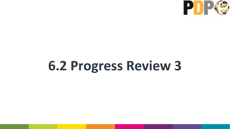# **6.2 Progress Review 3**

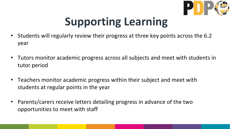# **Supporting Learning**

- Students will regularly review their progress at three key points across the 6.2 year
- Tutors monitor academic progress across all subjects and meet with students in tutor period
- Teachers monitor academic progress within their subject and meet with students at regular points in the year
- Parents/carers receive letters detailing progress in advance of the two opportunities to meet with staff

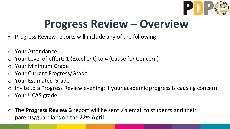### **Progress Review – Overview**

- Progress Review reports will include any of the following:
- o Your Attendance
- o Your Level of effort: 1 (Excellent) to 4 (Cause for Concern)
- o Your Minimum Grade
- o Your Current Progress/Grade
- o Your Estimated Grade
- o Invite to a Progress Review evening: If your academic progress is causing concern
- o Your UCAS grade
- o The **Progress Review 3** report will be sent via email to students and their parents/guardians on the **22nd April**

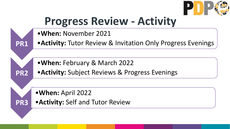

![](_page_3_Picture_1.jpeg)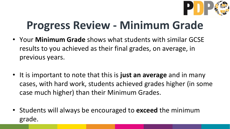## **Progress Review - Minimum Grade**

- Your **Minimum Grade** shows what students with similar GCSE results to you achieved as their final grades, on average, in previous years.
- It is important to note that this is **just an average** and in many cases, with hard work, students achieved grades higher (in some case much higher) than their Minimum Grades.
- Students will always be encouraged to **exceed** the minimum grade.

![](_page_4_Picture_4.jpeg)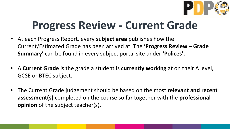## **Progress Review - Current Grade**

- At each Progress Report, every **subject area** publishes how the Current/Estimated Grade has been arrived at. The **'Progress Review – Grade Summary'** can be found in every subject portal site under **'Polices'.**
- A **Current Grade** is the grade a student is **currently working** at on their A level, GCSE or BTEC subject.
- The Current Grade judgement should be based on the most **relevant and recent assessment(s)** completed on the course so far together with the **professional opinion** of the subject teacher(s).

![](_page_5_Picture_4.jpeg)